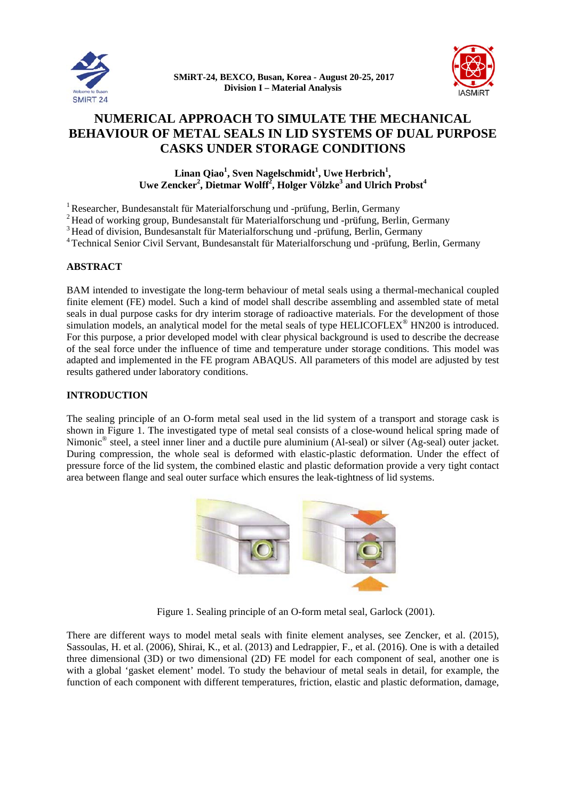



# **NUMERICAL APPROACH TO SIMULATE THE MECHANICAL BEHAVIOUR OF METAL SEALS IN LID SYSTEMS OF DUAL PURPOSE CASKS UNDER STORAGE CONDITIONS**

**CASKS UNDER STORAGE CONDITIONS**<br>
Linan Qiao<sup>1</sup>, Sven Nagelschmidt<sup>1</sup>, Uwe Herbrich<sup>1</sup>,<br>
Uwe Zencker<sup>2</sup>, Dietmar Wolff<sup>2</sup>, Holger Völzke<sup>3</sup> and Ulrich Probst<sup>4</sup> Linan Qiao<sup>1</sup>, Sven Nagelschmidt<sup>1</sup>, Uwe Herbrich<sup>1</sup>,

<sup>1</sup> Researcher, Bundesanstalt für Materialforschung und -prüfung, Berlin, Germany

- <sup>2</sup> Head of working group, Bundesanstalt für Materialforschung und -prüfung, Berlin, Germany
- <sup>3</sup> Head of division, Bundesanstalt für Materialforschung und -prüfung, Berlin, Germany
- <sup>4</sup> Technical Senior Civil Servant, Bundesanstalt für Materialforschung und -prüfung, Berlin, Germany

### $\bf ABSTRACT$

BAM intended to investigate the long-term behaviour of metal seals using a thermal-mechanical coupled finite element (FE) model. Such a kind of model shall describe assembling and assembled state of metal seals in dual purpose casks for dry interim storage of radioactive materials. For the development of those simulation models, an analytical model for the metal seals of type HELICOFLEX<sup>®</sup> HN200 is introduced. For this purpose, a prior developed model with clear physical background is used to describe the decrease of the seal force under the influence of time and temperature under storage conditions. This model was adapted and implemented in the FE program ABAQUS. All parameters of this model are adjusted by test results gathered under laboratory conditions.

#### **INTRODUCTION**

The sealing principle of an O-form metal seal used in the lid system of a transport and storage cask is shown in Figure 1. The investigated type of metal seal consists of a close-wound helical spring made of Nimonic<sup>®</sup> steel, a steel inner liner and a ductile pure aluminium (Al-seal) or silver (Ag-seal) outer jacket. During compression, the whole seal is deformed with elastic-plastic deformation. Under the effect of pressure force of the lid system, the combined elastic and plastic deformation provide a very tight contact area between flange and seal outer surface which ensures the leak-tightness of lid systems.



Figure 1. Sealing principle of an O-form metal seal, Garlock (2001).

There are different ways to model metal seals with finite element analyses, see Zencker, et al. (2015), Sassoulas, H. et al. (2006), Shirai, K., et al. (2013) and Ledrappier, F., et al. (2016). One is with a detailed three dimensional (3D) or two dimensional (2D) FE model for each component of seal, another one is with a global 'gasket element' model. To study the behaviour of metal seals in detail, for example, the function of each component with different temperatures, friction, elastic and plastic deformation, damage,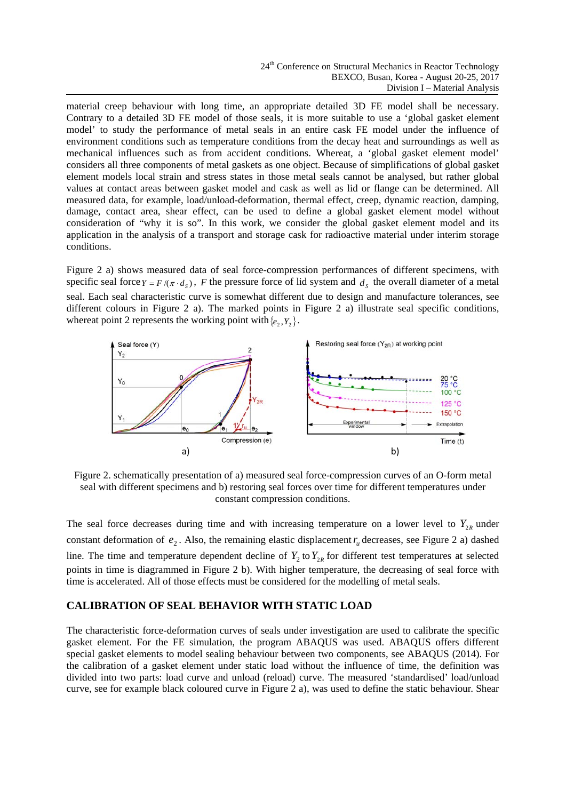material creep behaviour with long time, an appropriate detailed 3D FE model shall be necessary. Contrary to a detailed 3D FE model of those seals, it is more suitable to use a 'global gasket element model' to study the performance of metal seals in an entire cask FE model under the influence of environment conditions such as temperature conditions from the decay heat and surroundings as well as mechanical influences such as from accident conditions. Whereat, a 'global gasket element model' considers all three components of metal gaskets as one object. Because of simplifications of global gasket element models local strain and stress states in those metal seals cannot be analysed, but rather global values at contact areas between gasket model and cask as well as lid or flange can be determined. All measured data, for example, load/unload-deformation, thermal effect, creep, dynamic reaction, damping, damage, contact area, shear effect, can be used to define a global gasket element model without consideration of "why it is so". In this work, we consider the global gasket element model and its application in the analysis of a transport and storage cask for radioactive material under interim storage conditions.

Figure 2 a) shows measured data of seal force-compression performances of different specimens, with specific seal force  $Y = F/(\pi \cdot d_s)$ , *F* the pressure force of lid system and  $d_s$  the overall diameter of a metal seal. Each seal characteristic curve is somewhat different due to design and manufacture tolerances, see different colours in Figure 2 a). The marked points in Figure 2 a) illustrate seal specific conditions, whereat point 2 represents the working point with  $\{e_2, Y_2\}$ .



Figure 2. schematically presentation of a) measured seal force-compression curves of an O-form metal seal with different specimens and b) restoring seal forces over time for different temperatures under constant compression conditions.

The seal force decreases during time and with increasing temperature on a lower level to  $Y_{2R}$  under constant deformation of  $e_2$ . Also, the remaining elastic displacement  $r_u$  decreases, see Figure 2 a) dashed line. The time and temperature dependent decline of  $Y_2$  to  $Y_{2R}$  for different test temperatures at selected points in time is diagrammed in Figure 2 b). With higher temperature, the decreasing of seal force with time is accelerated. All of those effects must be considered for the modelling of metal seals.

# **CALIBRATION OF SEAL BEHAVIOR WITH STATIC LOAD**

The characteristic force-deformation curves of seals under investigation are used to calibrate the specific gasket element. For the FE simulation, the program ABAQUS was used. ABAQUS offers different special gasket elements to model sealing behaviour between two components, see ABAQUS (2014). For the calibration of a gasket element under static load without the influence of time, the definition was divided into two parts: load curve and unload (reload) curve. The measured 'standardised' load/unload curve, see for example black coloured curve in Figure 2 a), was used to define the static behaviour. Shear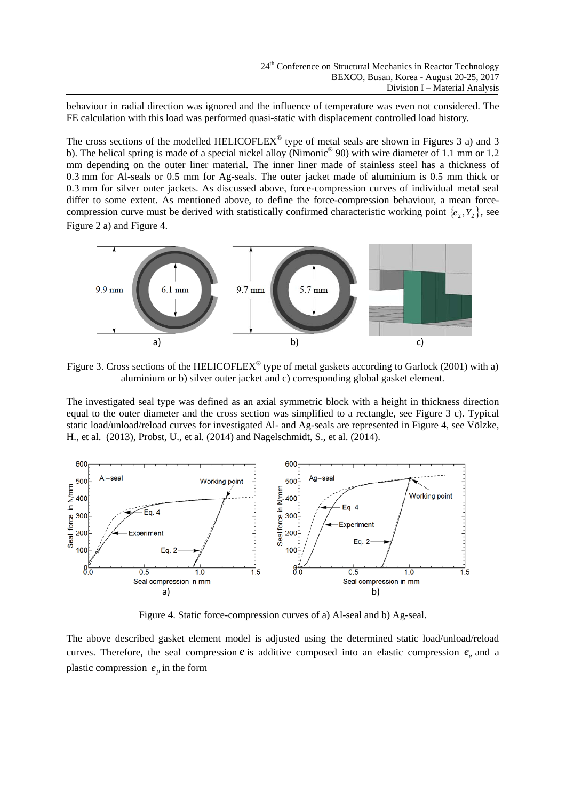behaviour in radial direction was ignored and the influence of temperature was even not considered. The FE calculation with this load was performed quasi-static with displacement controlled load history.

The cross sections of the modelled HELICOFLEX<sup>®</sup> type of metal seals are shown in Figures 3 a) and 3 b). The helical spring is made of a special nickel alloy (Nimonic<sup>®</sup> 90) with wire diameter of 1.1 mm or 1.2 mm depending on the outer liner material. The inner liner made of stainless steel has a thickness of 0.3 mm for Al-seals or 0.5 mm for Ag-seals. The outer jacket made of aluminium is 0.5 mm thick or 0.3 mm for silver outer jackets. As discussed above, force-compression curves of individual metal seal differ to some extent. As mentioned above, to define the force-compression behaviour, a mean forcecompression curve must be derived with statistically confirmed characteristic working point  $\{e_2, Y_2\}$ , see Figure 2 a) and Figure 4.



Figure 3. Cross sections of the HELICOFLEX<sup>®</sup> type of metal gaskets according to Garlock (2001) with a) aluminium or b) silver outer jacket and c) corresponding global gasket element.

The investigated seal type was defined as an axial symmetric block with a height in thickness direction equal to the outer diameter and the cross section was simplified to a rectangle, see Figure 3 c). Typical static load/unload/reload curves for investigated Al- and Ag-seals are represented in Figure 4, see Völzke, H., et al. (2013), Probst, U., et al. (2014) and Nagelschmidt, S., et al. (2014).



Figure 4. Static force-compression curves of a) Al-seal and b) Ag-seal.

The above described gasket element model is adjusted using the determined static load/unload/reload curves. Therefore, the seal compression  $e$  is additive composed into an elastic compression  $e_e$  and a plastic compression  $e_p$  in the form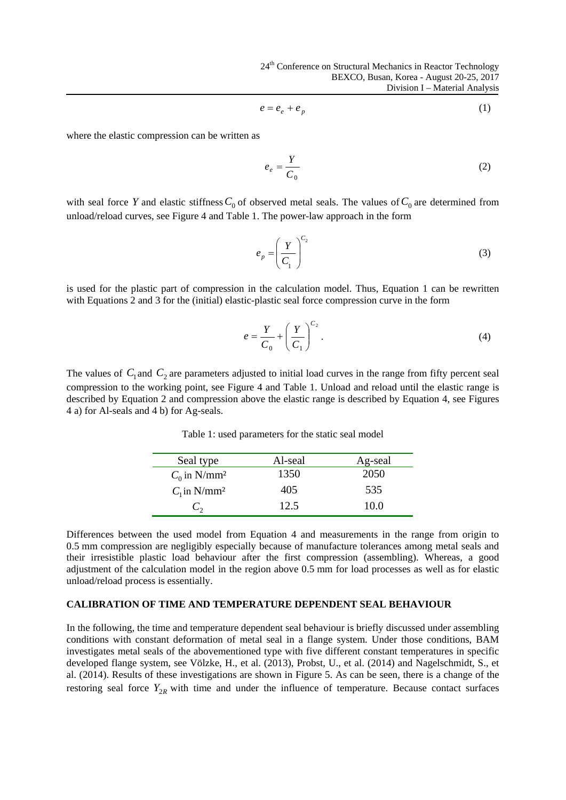$$
e = e_e + e_p \tag{1}
$$

where the elastic compression can be written as

$$
e_e = \frac{Y}{C_0} \tag{2}
$$

with seal force *Y* and elastic stiffness  $C_0$  of observed metal seals. The values of  $C_0$  are determined from unload/reload curves, see Figure 4 and Table 1. The power-law approach in the form

$$
e_p = \left(\frac{Y}{C_1}\right)^{C_2} \tag{3}
$$

is used for the plastic part of compression in the calculation model. Thus, Equation 1 can be rewritten with Equations 2 and 3 for the (initial) elastic-plastic seal force compression curve in the form

$$
e = \frac{Y}{C_0} + \left(\frac{Y}{C_1}\right)^{C_2}.
$$
 (4)

The values of  $C_1$  and  $C_2$  are parameters adjusted to initial load curves in the range from fifty percent seal compression to the working point, see Figure 4 and Table 1. Unload and reload until the elastic range is described by Equation 2 and compression above the elastic range is described by Equation 4, see Figures 4 a) for Al-seals and 4 b) for Ag-seals.

Seal type Al-seal Ag-seal *C*<sub>0</sub> in N/mm<sup>2</sup> 1350 2050  $C_1$  in N/mm<sup>2</sup> 405 535  $C_2$  12.5 10.0

Table 1: used parameters for the static seal model

Differences between the used model from Equation 4 and measurements in the range from origin to 0.5 mm compression are negligibly especially because of manufacture tolerances among metal seals and their irresistible plastic load behaviour after the first compression (assembling). Whereas, a good adjustment of the calculation model in the region above 0.5 mm for load processes as well as for elastic unload/reload process is essentially.

#### **CALIBRATION OF TIME AND TEMPERATURE DEPENDENT SEAL BEHAVIOUR**

In the following, the time and temperature dependent seal behaviour is briefly discussed under assembling conditions with constant deformation of metal seal in a flange system. Under those conditions, BAM investigates metal seals of the abovementioned type with five different constant temperatures in specific developed flange system, see Völzke, H., et al. (2013), Probst, U., et al. (2014) and Nagelschmidt, S., et al. (2014). Results of these investigations are shown in Figure 5. As can be seen, there is a change of the restoring seal force  $Y_{2R}$  with time and under the influence of temperature. Because contact surfaces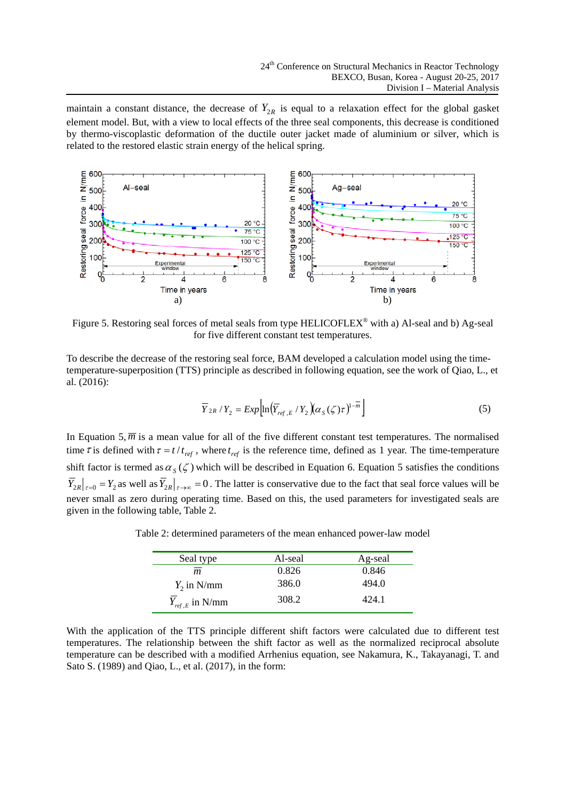maintain a constant distance, the decrease of  $Y_{2R}$  is equal to a relaxation effect for the global gasket element model. But, with a view to local effects of the three seal components, this decrease is conditioned by thermo-viscoplastic deformation of the ductile outer jacket made of aluminium or silver, which is related to the restored elastic strain energy of the helical spring.



Figure 5. Restoring seal forces of metal seals from type HELICOFLEX® with a) Al-seal and b) Ag-seal for five different constant test temperatures.

To describe the decrease of the restoring seal force, BAM developed a calculation model using the timetemperature-superposition (TTS) principle as described in following equation, see the work of Qiao, L., et al. (2016):

$$
\overline{Y}_{2R}/Y_2 = Exp\left[\ln\left(\overline{Y}_{ref,E}/Y_2\right)\left(\alpha_S(\zeta)\tau\right)^{1-\overline{m}}\right]
$$
\n(5)

In Equation 5,  $\overline{m}$  is a mean value for all of the five different constant test temperatures. The normalised time  $\tau$  is defined with  $\tau = t/t_{ref}$ , where  $t_{ref}$  is the reference time, defined as 1 year. The time-temperature shift factor is termed as  $\alpha_s(\zeta)$  which will be described in Equation 6. Equation 5 satisfies the conditions  $\overline{Y}_{2R}|_{\tau=0} = Y_2$  as well as  $\overline{Y}_{2R}|_{\tau \to \infty} = 0$ . The latter is conservative due to the fact that seal force values will be never small as zero during operating time. Based on this, the used parameters for investigated seals are given in the following table, Table 2.

| Seal type           | Al-seal | Ag-seal |
|---------------------|---------|---------|
| m.                  | 0.826   | 0.846   |
| $Y_2$ in N/mm       | 386.0   | 494.0   |
| $Y_{ref,E}$ in N/mm | 308.2   | 424.1   |

Table 2: determined parameters of the mean enhanced power-law model

With the application of the TTS principle different shift factors were calculated due to different test temperatures. The relationship between the shift factor as well as the normalized reciprocal absolute temperature can be described with a modified Arrhenius equation, see Nakamura, K., Takayanagi, T. and Sato S. (1989) and Qiao, L., et al. (2017), in the form: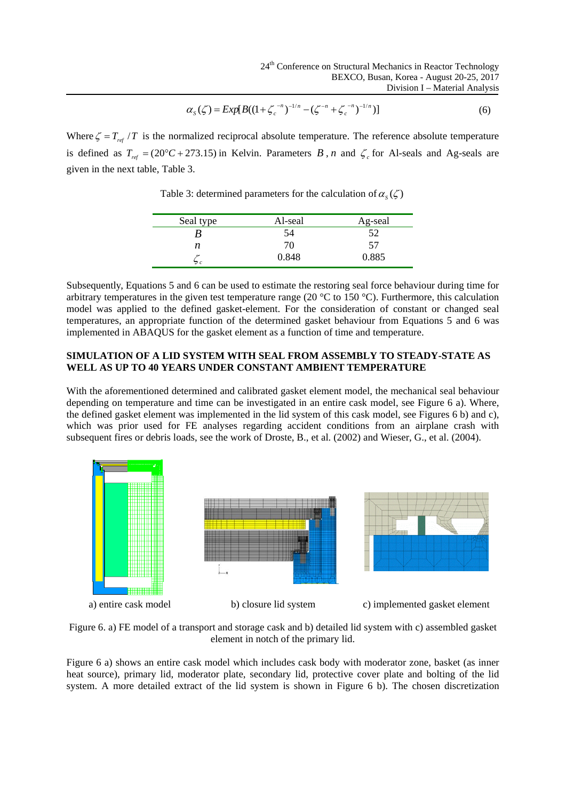$$
\alpha_s(\zeta) = Exp[B((1 + \zeta_c^{-n})^{-1/n} - (\zeta^{-n} + \zeta_c^{-n})^{-1/n})]
$$
\n(6)

Where  $\zeta = T_{ref}$  /*T* is the normalized reciprocal absolute temperature. The reference absolute temperature is defined as  $T_{ref} = (20^{\circ}C + 273.15)$  in Kelvin. Parameters *B*, *n* and  $\zeta_c$  for Al-seals and Ag-seals are given in the next table, Table 3.

Seal type Al-seal Ag-seal *B* 54 52

*n* 70 57  $\zeta_c$  0.848 0.885

Table 3: determined parameters for the calculation of  $\alpha_s(\zeta)$ 

Subsequently, Equations 5 and 6 can be used to estimate the restoring seal force behaviour during time for arbitrary temperatures in the given test temperature range (20 °C to 150 °C). Furthermore, this calculation model was applied to the defined gasket-element. For the consideration of constant or changed seal temperatures, an appropriate function of the determined gasket behaviour from Equations 5 and 6 was implemented in ABAQUS for the gasket element as a function of time and temperature.

#### **SIMULATION OF A LID SYSTEM WITH SEAL FROM ASSEMBLY TO STEADY-STATE AS WELL AS UP TO 40 YEARS UNDER CONSTANT AMBIENT TEMPERATURE**

With the aforementioned determined and calibrated gasket element model, the mechanical seal behaviour depending on temperature and time can be investigated in an entire cask model, see Figure 6 a). Where, the defined gasket element was implemented in the lid system of this cask model, see Figures 6 b) and c), which was prior used for FE analyses regarding accident conditions from an airplane crash with subsequent fires or debris loads, see the work of Droste, B., et al. (2002) and Wieser, G., et al. (2004).



Figure 6. a) FE model of a transport and storage cask and b) detailed lid system with c) assembled gasket element in notch of the primary lid.

Figure 6 a) shows an entire cask model which includes cask body with moderator zone, basket (as inner heat source), primary lid, moderator plate, secondary lid, protective cover plate and bolting of the lid system. A more detailed extract of the lid system is shown in Figure 6 b). The chosen discretization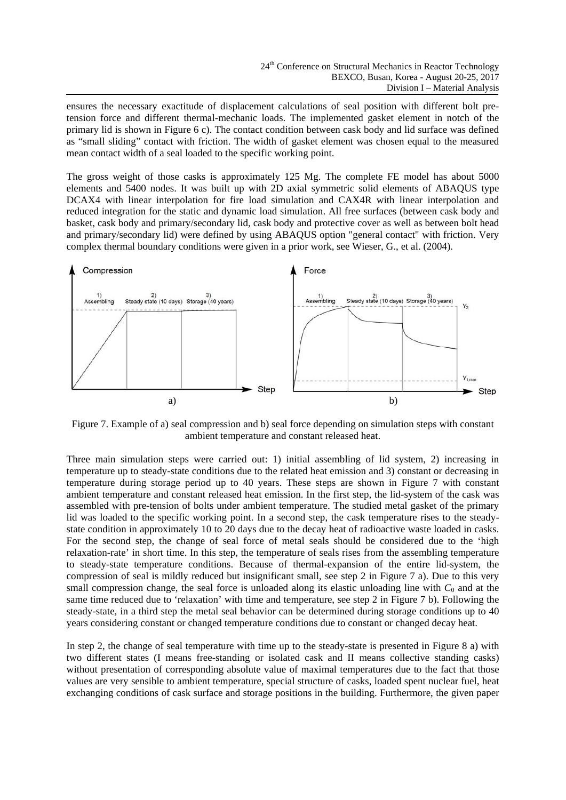ensures the necessary exactitude of displacement calculations of seal position with different bolt pretension force and different thermal-mechanic loads. The implemented gasket element in notch of the primary lid is shown in Figure 6 c). The contact condition between cask body and lid surface was defined as "small sliding" contact with friction. The width of gasket element was chosen equal to the measured mean contact width of a seal loaded to the specific working point.

The gross weight of those casks is approximately 125 Mg. The complete FE model has about 5000 elements and 5400 nodes. It was built up with 2D axial symmetric solid elements of ABAQUS type DCAX4 with linear interpolation for fire load simulation and CAX4R with linear interpolation and reduced integration for the static and dynamic load simulation. All free surfaces (between cask body and basket, cask body and primary/secondary lid, cask body and protective cover as well as between bolt head and primary/secondary lid) were defined by using ABAQUS option "general contact" with friction. Very complex thermal boundary conditions were given in a prior work, see Wieser, G., et al. (2004).



Figure 7. Example of a) seal compression and b) seal force depending on simulation steps with constant ambient temperature and constant released heat.

Three main simulation steps were carried out: 1) initial assembling of lid system, 2) increasing in temperature up to steady-state conditions due to the related heat emission and 3) constant or decreasing in temperature during storage period up to 40 years. These steps are shown in Figure 7 with constant ambient temperature and constant released heat emission. In the first step, the lid-system of the cask was assembled with pre-tension of bolts under ambient temperature. The studied metal gasket of the primary lid was loaded to the specific working point. In a second step, the cask temperature rises to the steadystate condition in approximately 10 to 20 days due to the decay heat of radioactive waste loaded in casks. For the second step, the change of seal force of metal seals should be considered due to the 'high relaxation-rate' in short time. In this step, the temperature of seals rises from the assembling temperature to steady-state temperature conditions. Because of thermal-expansion of the entire lid-system, the compression of seal is mildly reduced but insignificant small, see step 2 in Figure 7 a). Due to this very small compression change, the seal force is unloaded along its elastic unloading line with  $C_0$  and at the same time reduced due to 'relaxation' with time and temperature, see step 2 in Figure 7 b). Following the steady-state, in a third step the metal seal behavior can be determined during storage conditions up to 40 years considering constant or changed temperature conditions due to constant or changed decay heat.

In step 2, the change of seal temperature with time up to the steady-state is presented in Figure 8 a) with two different states (I means free-standing or isolated cask and II means collective standing casks) without presentation of corresponding absolute value of maximal temperatures due to the fact that those values are very sensible to ambient temperature, special structure of casks, loaded spent nuclear fuel, heat exchanging conditions of cask surface and storage positions in the building. Furthermore, the given paper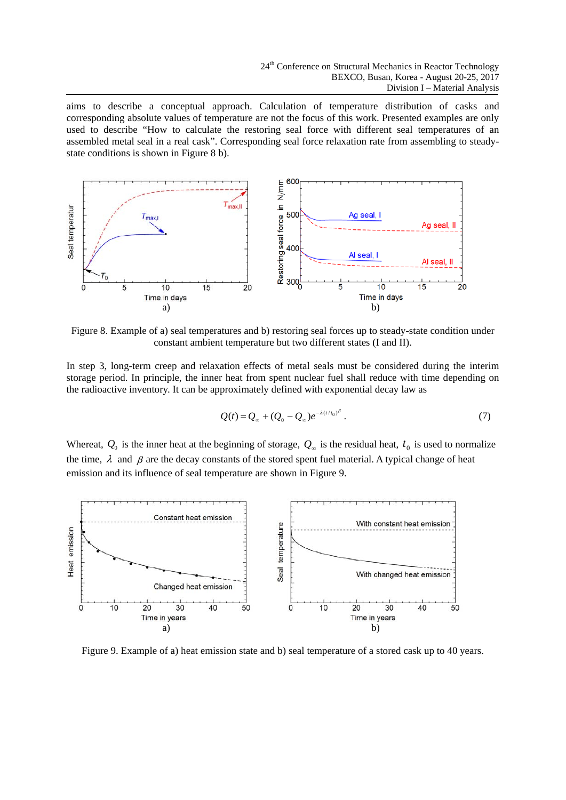aims to describe a conceptual approach. Calculation of temperature distribution of casks and corresponding absolute values of temperature are not the focus of this work. Presented examples are only used to describe "How to calculate the restoring seal force with different seal temperatures of an assembled metal seal in a real cask". Corresponding seal force relaxation rate from assembling to steadystate conditions is shown in Figure 8 b).



Figure 8. Example of a) seal temperatures and b) restoring seal forces up to steady-state condition under constant ambient temperature but two different states (I and II).

In step 3, long-term creep and relaxation effects of metal seals must be considered during the interim storage period. In principle, the inner heat from spent nuclear fuel shall reduce with time depending on the radioactive inventory. It can be approximately defined with exponential decay law as

$$
Q(t) = Q_{\infty} + (Q_0 - Q_{\infty})e^{-\lambda(t/t_0)^{\beta}}.
$$
 (7)

Whereat,  $Q_0$  is the inner heat at the beginning of storage,  $Q_\infty$  is the residual heat,  $t_0$  is used to normalize the time,  $\lambda$  and  $\beta$  are the decay constants of the stored spent fuel material. A typical change of heat emission and its influence of seal temperature are shown in Figure 9.



Figure 9. Example of a) heat emission state and b) seal temperature of a stored cask up to 40 years.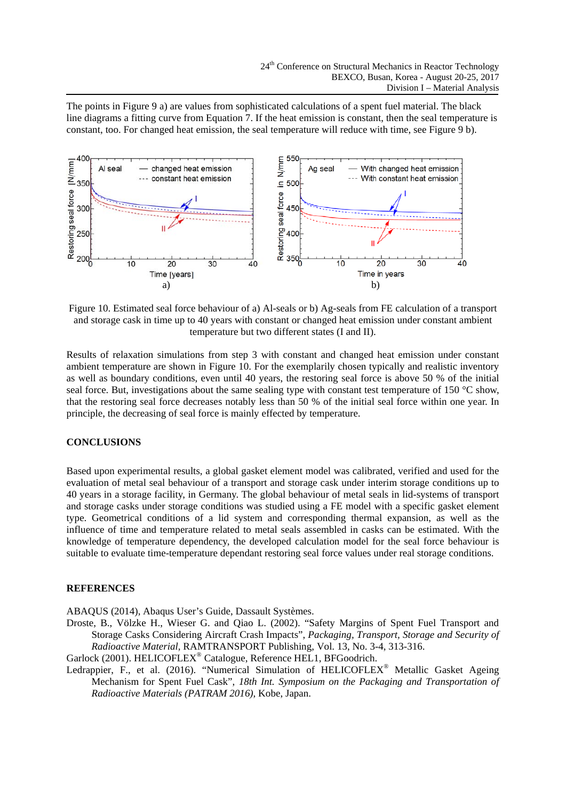The points in Figure 9 a) are values from sophisticated calculations of a spent fuel material. The black line diagrams a fitting curve from Equation 7. If the heat emission is constant, then the seal temperature is constant, too. For changed heat emission, the seal temperature will reduce with time, see Figure 9 b).



Figure 10. Estimated seal force behaviour of a) Al-seals or b) Ag-seals from FE calculation of a transport and storage cask in time up to 40 years with constant or changed heat emission under constant ambient temperature but two different states (I and II).

Results of relaxation simulations from step 3 with constant and changed heat emission under constant ambient temperature are shown in Figure 10. For the exemplarily chosen typically and realistic inventory as well as boundary conditions, even until 40 years, the restoring seal force is above 50 % of the initial seal force. But, investigations about the same sealing type with constant test temperature of 150 °C show, that the restoring seal force decreases notably less than 50 % of the initial seal force within one year. In principle, the decreasing of seal force is mainly effected by temperature.

## **CONCLUSIONS**

Based upon experimental results, a global gasket element model was calibrated, verified and used for the evaluation of metal seal behaviour of a transport and storage cask under interim storage conditions up to 40 years in a storage facility, in Germany. The global behaviour of metal seals in lid-systems of transport and storage casks under storage conditions was studied using a FE model with a specific gasket element type. Geometrical conditions of a lid system and corresponding thermal expansion, as well as the influence of time and temperature related to metal seals assembled in casks can be estimated. With the knowledge of temperature dependency, the developed calculation model for the seal force behaviour is suitable to evaluate time-temperature dependant restoring seal force values under real storage conditions.

#### **REFERENCES**

ABAQUS (2014), Abaqus User's Guide, Dassault Systèmes.

Droste, B., Völzke H., Wieser G. and Qiao L. (2002). "Safety Margins of Spent Fuel Transport and Storage Casks Considering Aircraft Crash Impacts", *Packaging, Transport, Storage and Security of Radioactive Material,* RAMTRANSPORT Publishing, Vol. 13, No. 3-4, 313-316.

Garlock (2001). HELICOFLEX® Catalogue, Reference HEL1, BFGoodrich.

Ledrappier, F., et al. (2016). "Numerical Simulation of HELICOFLEX® Metallic Gasket Ageing Mechanism for Spent Fuel Cask", *18th Int. Symposium on the Packaging and Transportation of Radioactive Materials (PATRAM 2016)*, Kobe, Japan.